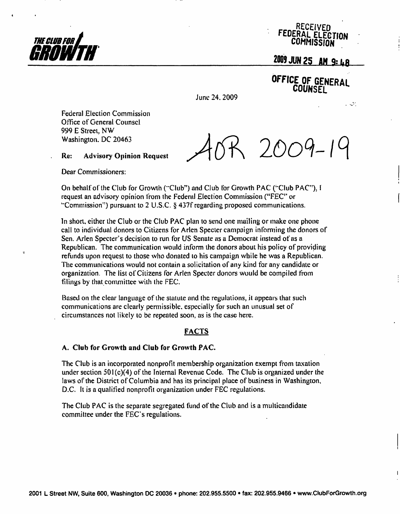

÷



# 2009 JUN 25 AM 9: 48

OFFICE OF GENERAL **COUNSET** 

 $\sim 2$ 

June 24.2009

Federal Election Commission Office of General Counsel 999 E Street. NW Washington. DC 20463

R 2009-19

Re: Advisory Opinion Request

Dear Commissioners:

On behalf of the Club for Growth ("Club") and Club for Growth PAC ('"Club PAC"), 1 request an advisory opinion from the Federal Election Commission ("FEC" or "Commission") pursuant to 2 U.S.C. § 437f regarding proposed communications.

In short, either the Club or the Club PAC plan to send one mailing or make one phone call to individual donors to Citizens for Arlen Specter campaign informing the donors of Sen. Arlen Specter's decision to run for US Senate as a Democrat instead of as a Republican. The communication would inform the donors about his policy of providing refunds upon request to those who donated to his campaign while he was a Republican. The communications would not contain a solicitation of any kind for any candidate or organization. The list of Citizens for Arlen Specter donors would be compiled from filings by that committee with the FEC.

Based on the clear language of the statute and the regulations, it appears that such communications are clearly permissible, especially for such an unusual set of circumstances not likely to be repeated soon, as is the case here.

## FACTS

### A. Club for Growth and Club for Growth PAC.

The Club is an incorporated nonprofit membership organization exempt from taxation under section  $501(c)(4)$  of the Internal Revenue Code. The Club is organized under the laws of the District of Columbia and has its principal place of business in Washington, D.C. It is a qualified nonprofit organization under FEC regulations.

The Club PAC is the separate segregated fund of the Club and is a multicandidate committee under the FEC's regulations.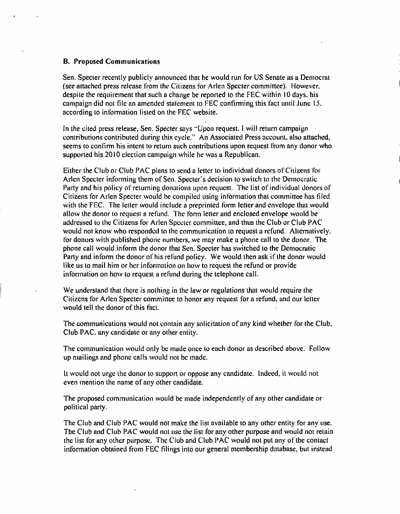#### B. Proposed Communications

Sen. Specter recently publicly announced that he would run for US Senate as a Democrat (see attached press release from the Citizens for Arlen Specter committee). However, despile the requirement that such a change be reported lo the FEC within 10 days, his campaign did not file an amended statement to FEC confirming this fact until. June 15. according to information listed on ihe FEC website.

In the cited press release, Sen. Specter says "Upon request. I will return campaign contributions contributed during this cycle." An Associated Press account, also attached, seems to confirm his intent to return such contributions upon request from any donor who supported his 2010 election campaign while he was a Republican.

Either the Club or Club PAC plans to send a letter lo individual donors of Citizens for Arlen Specter informing them of Sen. Specter's decision to switch to the Democratic Party and his policy of returning donations upon request. The list of individual donors of Citizens for Arlen Specter would be compiled using information that committee has filed with the FEC. The letter would include a preprinted form letter and envelope that would allow the donor to requesi a refund. The form letter and enclosed envelope would be addressed lo Ihe Citizens for Arlen Specter committee, and thus the Club or Club PAC would not know who responded to the communication to request a refund. Alternatively, for donors with published phone numbers, we may make a phone call to the donor. The phone call would inform the donor that Sen. Specter has switched lo the Democratic Party and inform the donor of his refund policy. We would then ask if the donor would like us lo mail him or her information on how to request the refund or provide information on how to requesi a refund during the telephone call.

We understand that there is nothing in the law or regulations that would require the Citizens for Arlen Specter committee to honor any request for a refund, and our letter would tell the donor of this fact.

The communications would not contain any solicitation of any kind whether for the Club, Club PAC. any candidate or any other entity.

The communication would only be made once lo each donor as described above. Followup mailings and phone calls would not be made.

It would not urge the donor to support or oppose any candidate. Indeed, it would not even mention the name of any other candidate.

The proposed communication would be made independently of any other candidate or political party.

The Club and Club PAC would not make the list available to any other entity for any use. The Club and Club PAC would not use the list for any other purpose and would not retain the list for any other purpose. The Club and Club PAC would not put any of the contact information obtained from FEC filings into our general membership database, but instead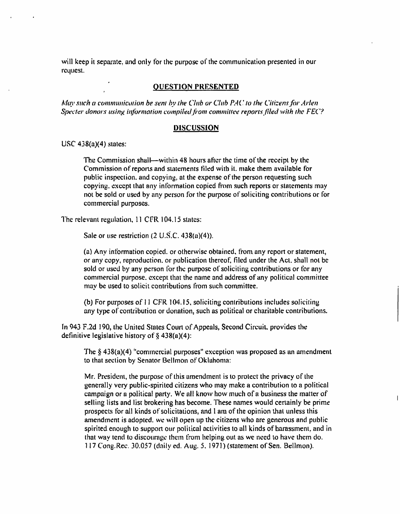will keep it separate, and only for the purpose of the communication presented in our request.

#### QUESTION PRESENTED

May such a communication be sent by the Club or Club PAC to the Citizens for Arlen Specter donors using information compiled from committee reports filed with the FEC?

#### **DISCUSSION**

USC  $438(a)(4)$  states:

The Commission shall—within 48 hours after the time of the receipt by the Commission of reports and statements filed with it. make them available for public inspection, and copying, at the expense of the person requesting such copying, except that any information copied from such reports or statements may not be sold or used by any person for the purpose of soliciting contributions or for commercial purposes.

The relevant regulation, 11 CFR 104.15 states:

Sale or use restriction  $(2 \text{ U.S.C. } 438(a)(4))$ .

(a) Any information copied, or otherwise obtained, from, any report or statement, or any copy, reproduction, or publication thereof, filed under the Act. shall not be sold or used by any person for the purpose of soliciting contributions or for any commercial purpose, except that the name and address of any political committee may be used to solicit contributions from such committee.

(b) For purposes of 11 CFR 104.15, soliciting contributions includes soliciting any type of contribution or donation, such as political or charitable contributions.

In 943 F.2d 190, the United States Court of Appeals, Second Circuit, provides the definitive legislative history of  $\S$  438(a)(4):

The § 438(a)(4) "commercial purposes" exception was proposed as an amendment to that section by Senator Bellmon of Oklahoma:

Mr. President, the purpose of this amendment is to protect the privacy of the generally very public-spirited citizens who may make a contribution to a political campaign or a political party. We all know how much of a business the matter of selling lists and list brokering has become. These names would certainly be prime prospects for all kinds of solicitations, and 1 am of the opinion that unless this amendment is adopted, we will open up the citizens who are generous and public spirited enough to support our political activities to all kinds of harassment, and in that way tend to discourage them from helping out as we need to have them do. 117 Cong.Rec. 30.057 (daily ed. Aug. 5. 1971) (statement of Sen. Bellmon).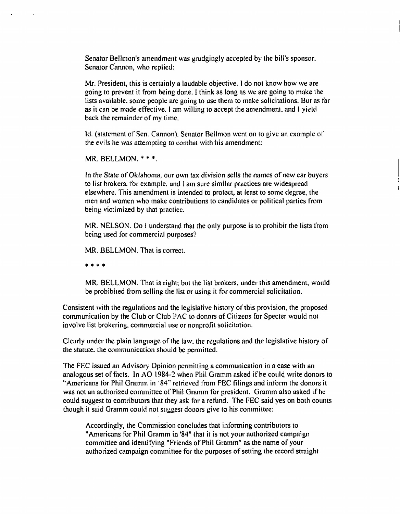Senator Bellmon's amendment was grudgingly accepted by the bill's sponsor. Senator Cannon, who replied:

Mr. President, this is certainly a laudable objective. 1 do nol know how we are going to prevent it from being done. 1 think as long as we are going to make the lists available, some people are going to use them to make solicitations. But as far as it can be made effective. I am willing to accept rhe amendment, and I yield back the remainder of my time.

Id. (statement of Sen. Cannon). Senator Bellmon went on to give an example of the evils he was attempting to combat with his amendment:

MR. BELLMON. \* \* \*

In the State of Oklahoma, our own tax division sells the names of new car buyers to list brokers, for example, and I am sure similar practices are widespread elsewhere. This amendment is intended to protect, at least to some degree, the men and women who make contributions to candidates or political parlies from being victimized by that practice.

MR. NELSON. Do I understand that the only purpose is to prohibit the lists from being used for commercial purposes?

MR. BELLMON. That is correct.

\* \* \* \*

MR. BELLMON. That is right; but the list brokers, under this amendment, would be prohibited from selling the list or using it for commercial solicitation.

Consistent with the regulations and the legislative history of this provision, the proposed communication by the Club or Club PAC to donors of Citizens for Specter would not involve list brokering, commercial use or nonprofit solicitation.

Clearly under the plain language of the law. the regulations and the legislative history of the statute, the communication, should be permitted.

The FEC issued an Advisory Opinion permitting a communication in a case with an analogous set of facts. In AO 1984-2 when Phil Gramm asked if he could write donors to "Americans for Phil Gramm in '84" retrieved from FEC filings and inform the donors it was not an authorized committee of Phil Gramm for president. Gramm also asked if he could suggest to contributors that they ask for a refund. The FEC said yes on both counts though it said Gramm could not suggest donors give to his committee:

Accordingly, the Commission concludes that informing contributors to "Americans for Phil Gramm in '84" that it is not your authorized campaign committee and identifying "Friends of Phil Gramm" as the name of your authorized campaign committee for the purposes of setting the record straight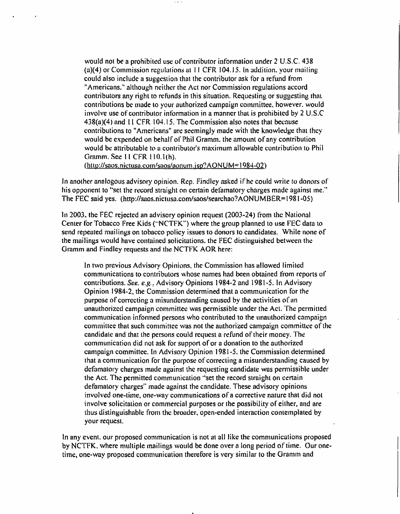would not be a prohibited use of contributor information under 2 U.S.C. 438 (a)(4) or Commission regulations at 11 CFR 104.J 5. In addition, your mailing could also include a suggestion thai the contributor ask for a refund from "Americans." although neither the Act nor Commission regulations accord contributors any right to refunds in this situation. Requesting or suggesting that, contributions be made to your authorized campaign committee, however, would involve use of contributor information in a manner that is prohibited by 2 U.S.C 438(a)(4) and 11 CFR 104.15. The Commission also notes that because contributions to "Americans" are seemingly made with the knowledge that they would be expended on behalf of Phil Gramm, the amount of any contribution would be attributable to a contributor's maximum allowable contribution to Phil Gramm. See 11 CFR 110.1(h).

(http://saos.nictusa.com/saos/aonum.jsp?AONUM=1984-02)

In another analogous advisory opinion. Rep. Findley asked if he could write to donors of his opponent to "set the record straight on certain defamatory charges made against me." The FEC said yes. (http://saos.nictusa.com/saos/searchao7AONUMBER= 1981-05)

In 2003. the FEC rejected an advisory opinion request (2003-24) from the National Center for Tobacco Free Kids ("NCTFK") where the group planned to use FEC data to send repeated mailings on tobacco policy issues to donors to candidates. While none of the mailings would have contained solicitations, the FEC distinguished between the Gramm and Findley requests and the NCTFK AOR here:

In two previous Advisory Opinions, the Commission has allowed limited communications to contributors whose names had been obtained from reports of contributions. See. e.g.. Advisory Opinions 1984-2 and 1981-5. In Advisory Opinion 1984-2, the Commission determined that a communication for the purpose of correcting a misunderstanding caused by the activities of an unauthorized campaign committee was permissible under the Act. The permitted communication informed persons who contributed to the unauthorized campaign committee that such committee was not the authorized campaign committee of the candidate and that the persons could request a refund of their money. The communication did not ask for support of or a donation to the authorized campaign committee. In Advisory Opinion 1981-5. the Commission determined that a communication for the purpose of correcting a misunderstanding caused by defamatory charges made against the requesting candidate was permissible under the Act. The permitted communication "set the record straight on certain defamatory charges" made against the candidate. These advisory opinions involved one-lime, one-way communications of a corrective nature that did not involve solicitation or commercial purposes or the possibility of either, and are thus distinguishable from the broader, open-ended interaction contemplated by your request.

In any event, our proposed communication is not at all like the communications proposed by NCTFK, where multiple mailings would be done over a long period of time. Our onetime, one-way proposed communication therefore is very similar to the Gramm and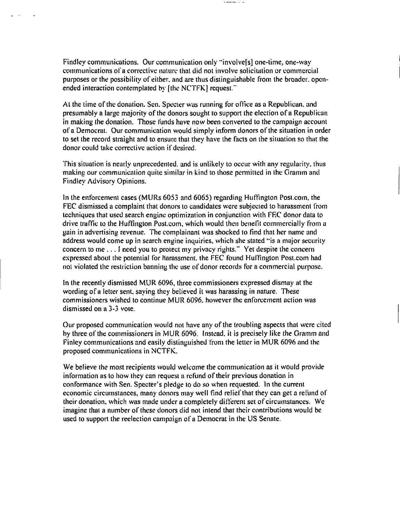Findley communications. Our communication only "involvefs] one-time, one-way communications of a corrective nature that did not involve solicitation or commercial purposes or the possibility of either, and are thus distinguishable from the broader, openended interaction contemplated by [the NCTFK] request."

**Contact State** 

At the time of the donation. Sen. Specter was running for office as a Republican, and presumably a large majority of the donors sought to support the election of a Republican in making the donation. Those funds have now been converted to the campaign account of a Democrat. Our communication would simply inform donors of the situation in order to set the record straight and to ensure that they have the facts on the situation so that the donor could take corrective action if desired.

This situation is nearly unprecedented, and is unlikely to occur with any regularity, thus making our communication quite similar in kind to those permitted in the Granim and Findley Advisory Opinions.

In the enforcement cases (MURs 6053 and 6065) regarding Huffington Post.com, the FEC dismissed a complaint that donors to candidates were subjected to harassment from techniques that used search engine optimization in conjunction with FF.C donor data to drive traffic to the Huffington Post.com, which would then benefit commercially from a gain in advertising revenue. The complainant was shocked to find that her name and address would come up in search engine inquiries, which she stated "is a major security concern, to me ... I need you to protect my privacy rights." Yet despite the concern expressed about the potential for harassment, the FEC found Huffington Post.com had not violated the restriction banning the use of donor records for a commercial purpose.

In the recently dismissed MUR 6096, three commissioners expressed dismay at the wording of a letter sent, saying they believed it was harassing in nature. These commissioners wished to continue MUR 6096. however the enforcement action was dismissed on a 3-3 vote.

Our proposed communication would not have any of the troubling aspects that were cited by three of the commissioners in MUR 6096. Instead, it is precisely like the Gramm and Finley communications and easily distinguished from the letter in MUR 6096 and the proposed communications in NCTFK.

We believe the most recipients would welcome the communication as it would provide information as to how they can request a refund of their previous donation in conformance with Sen. Specter's pledge to do so when requested, in the current economic circumstances, many donors may well find relief that they can get a refund of their donation, which was made under a completely different set of circumstances. We imagine that a number of these donors did not intend that their contributions would be used to support the reelection campaign of a Democrat in the US Senate.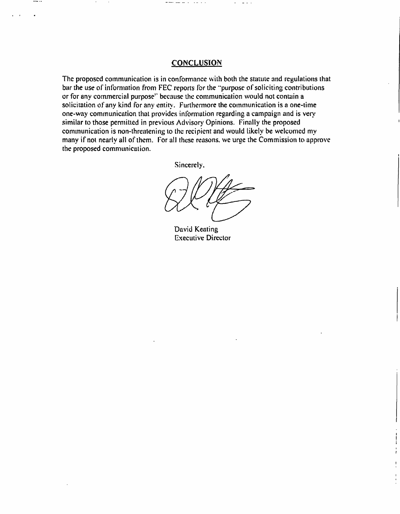#### **CONCLUSION**

The proposed communication is in conformance with both the statute and regulations that bar the use of information from FEC reports for the "purpose of soliciting contributions or for any commercial purpose" because the communication would not contain a solicitation of any kind for any entity. Furthermore the communication is a one-time one-way communication that provides information regarding a campaign and is very similar to those permitted in previous Advisory Opinions. Finally the proposed communication is non-threatening to the recipient and would likely be welcomed my many if not nearly all of them. For all these reasons, we urge the Commission to approve the proposed communication.

Sincerely,

David Keating **Executive Director**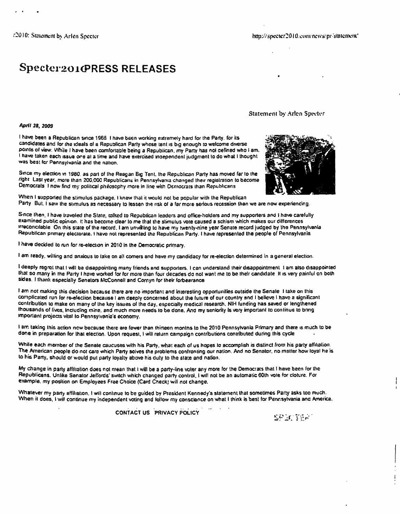Specter201GRESS RELEASES

Statement by Arlen Specter

April 28. 2009

I have been a Republican since 1966 I nave been working extremely hard for the Party, for its candidates anci for the ideals of a Republican Party whose tent is big enough to welcome diverse points of view. While I have been comfortable being a Republican, my Party has not cefined who I am. I have taken each issue one at a time and have exercised independent judgment to do what I thought was best for Pennsylvania and the nation.

Since my election in 1980. as part of ihe Reagan Big Tent, the Republican Party has moved far to the right Last year, more than 200.000 Republicans in Pennsylvania changed their registration to become Democrats I now find my political philosophy more in line with Democrats lhan Republicans



When I supported the stimulus package, I knew that it would not be popular with the Republican Party But. I saw the stimulus as necessary to lessen the risk of a far more serious recession than we are now experiencing.

S-nce then. I have traveled the State, talked to Republican leaders and office-holders and my supporters and I have carefully examined public opinion, i: has become clear to me that ihe stimulus vote caused a schism which makes our differences irreconcilable On this state of the record. I am unwilling to have my twenty-nine year Senate record judged by the Pennsylvania Republican primary electorate, i have not represented the Republican Party. I have represented the people of Pennsylvania

I have decided to run for re-election in 2010 in the Democratic primary.

I am ready, willing and anxious to take on all comers and have my candidacy for re-election determined in a general election.

I deeply regret that I will be disappointing many friends and supporters. I can understand their disappointment I am also disappointed that so many in the Party I have worked for for more than four decades do not want me to be their candidate It is very painful on both sides. I thank especially Senators McConnell and Cornyn for their forbearance

I am not making this decision because there are no important and interesting opportunities outside Ihe Senate I take on this complicated run for re-eleciion because I am deeply concerned about the future of our country and I believe I have a significant contribution to make on many of the key issues of the day. especially medical research. NIH funding has saved or lengthened thousands of lives. Including mine, and much more needs to ba done. And my seniority Is very important to continue to bring important projects vital to Pennsylvania's economy.

I am taking this action new because there are fewer than thirteen montns to the 2010 Pennsylvania Primary and there is much to be done in preparation for that election. Upon request. I will return campaign contributions contributed during this cycle

While each member of the Senate caucuses with his Party, what each of us hopes to accomplish is distinct from his party affiliation. The American people do not care which Party solves the problems confronting our nation. And no Senator, no matter how loyal he is to his Party, should or would put party loyalty above his duty to the state and nation.

My change in party affiliation does not mean that l will be a party-line voter any more for ihe Democrats that I have been for the Republicans. Unlike Senator Jeffords' switch which changed party control. I will not be an automatic 60th vote for cloture. For example, my position on Employees Free Choice (Card Check) will not change.

Whatever my party affiliation. I will continue to be guided by President Kennedy's statement that sometimes Party asks too much. When it does. I will continue my independent voting and follow my conscience on what I think is best for Pennsylvania anc America.

CONTACT US PRIVACY POLICY

SP 3055A